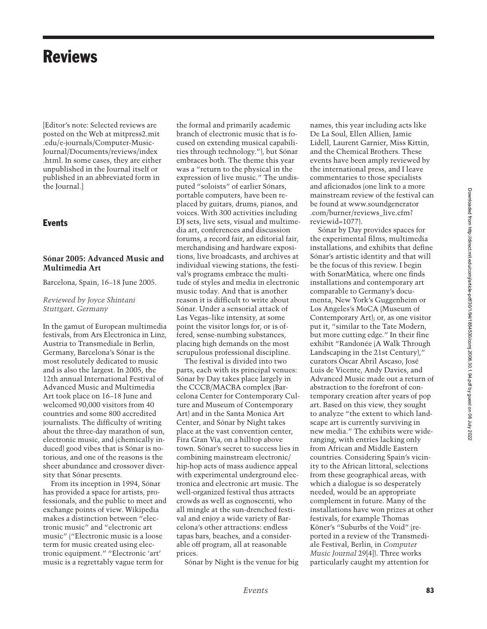# **Reviews**

[Editor's note: Selected reviews are posted on the Web at mitpress2.mit .edu/e-journals/Computer-Music-Journal/Documents/reviews/index .html. In some cases, they are either unpublished in the Journal itself or published in an abbreviated form in the Journal.]

# Events

# **Sónar 2005: Advanced Music and Multimedia Art**

Barcelona, Spain, 16–18 June 2005.

*Reviewed by Joyce Shintani Stuttgart, Germany*

In the gamut of European multimedia festivals, from Ars Electronica in Linz, Austria to Transmediale in Berlin, Germany, Barcelona's Sónar is the most resolutely dedicated to music and is also the largest. In 2005, the 12th annual International Festival of Advanced Music and Multimedia Art took place on 16–18 June and welcomed 90,000 visitors from 40 countries and some 800 accredited journalists. The difficulty of writing about the three-day marathon of sun, electronic music, and (chemically induced) good vibes that is Sónar is notorious, and one of the reasons is the sheer abundance and crossover diversity that Sónar presents.

From its inception in 1994, Sónar has provided a space for artists, professionals, and the public to meet and exchange points of view. Wikipedia makes a distinction between "electronic music" and "electronic art music" ("Electronic music is a loose term for music created using electronic equipment." "Electronic 'art' music is a regrettably vague term for

the formal and primarily academic branch of electronic music that is focused on extending musical capabilities through technology."), but Sónar embraces both. The theme this year was a "return to the physical in the expression of live music." The undisputed "soloists" of earlier Sónars, portable computers, have been replaced by guitars, drums, pianos, and voices. With 300 activities including DJ sets, live sets, visual and multimedia art, conferences and discussion forums, a record fair, an editorial fair, merchandising and hardware expositions, live broadcasts, and archives at individual viewing stations, the festival's programs embrace the multitude of styles and media in electronic music today. And that is another reason it is difficult to write about Sónar. Under a sensorial attack of Las Vegas–like intensity, at some point the visitor longs for, or is offered, sense-numbing substances, placing high demands on the most scrupulous professional discipline.

The festival is divided into two parts, each with its principal venues: Sónar by Day takes place largely in the CCCB/MACBA complex (Barcelona Center for Contemporary Culture and Museum of Contemporary Art) and in the Santa Monica Art Center, and Sónar by Night takes place at the vast convention center, Fira Gran Via, on a hilltop above town. Sónar's secret to success lies in combining mainstream electronic/ hip-hop acts of mass audience appeal with experimental underground electronica and electronic art music. The well-organized festival thus attracts crowds as well as cognoscenti, who all mingle at the sun-drenched festival and enjoy a wide variety of Barcelona's other attractions: endless tapas bars, beaches, and a considerable off program, all at reasonable prices.

Sónar by Night is the venue for big

names, this year including acts like De La Soul, Ellen Allien, Jamie Lidell, Laurent Garnier, Miss Kittin, and the Chemical Brothers. These events have been amply reviewed by the international press, and I leave commentaries to those specialists and aficionados (one link to a more mainstream review of the festival can be found at www.soundgenerator .com/burner/reviews\_live.cfm? reviewid=1077).

Sónar by Day provides spaces for the experimental films, multimedia installations, and exhibits that define Sónar's artistic identity and that will be the focus of this review. I begin with SonarMàtica, where one finds installations and contemporary art comparable to Germany's documenta, New York's Guggenheim or Los Angeles's MoCA (Museum of Contemporary Art); or, as one visitor put it, "similar to the Tate Modern, but more cutting edge." In their fine exhibit "Randonée (A Walk Through Landscaping in the 21st Century)," curators Óscar Abril Ascaso, José Luis de Vicente, Andy Davies, and Advanced Music made out a return of abstraction to the forefront of contemporary creation after years of pop art. Based on this view, they sought to analyze "the extent to which landscape art is currently surviving in new media." The exhibits were wideranging, with entries lacking only from African and Middle Eastern countries. Considering Spain's vicinity to the African littoral, selections from these geographical areas, with which a dialogue is so desperately needed, would be an appropriate complement in future. Many of the installations have won prizes at other festivals, for example Thomas Köner's "Suburbs of the Void" (reported in a review of the Transmediale Festival, Berlin, in *Computer Music Journal* 29[4]). Three works particularly caught my attention for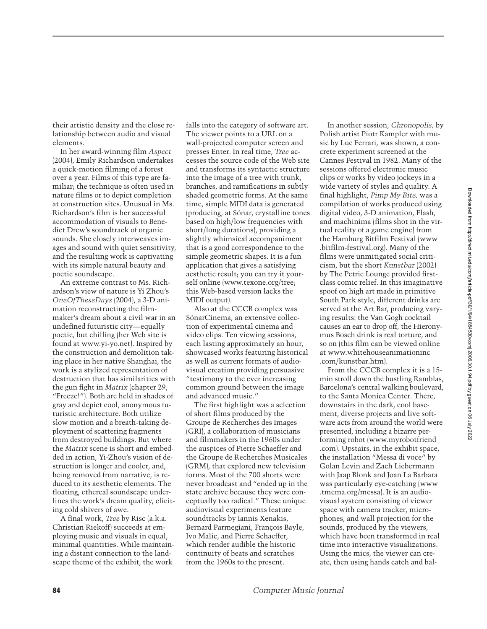their artistic density and the close relationship between audio and visual elements.

In her award-winning film *Aspect* (2004), Emily Richardson undertakes a quick-motion filming of a forest over a year. Films of this type are familiar; the technique is often used in nature films or to depict completion at construction sites. Unusual in Ms. Richardson's film is her successful accommodation of visuals to Benedict Drew's soundtrack of organic sounds. She closely interweaves images and sound with quiet sensitivity, and the resulting work is captivating with its simple natural beauty and poetic soundscape.

An extreme contrast to Ms. Richardson's view of nature is Yi Zhou's *OneOfTheseDays* (2004), a 3-D animation reconstructing the filmmaker's dream about a civil war in an undefined futuristic city—equally poetic, but chilling (her Web site is found at www.yi-yo.net). Inspired by the construction and demolition taking place in her native Shanghai, the work is a stylized representation of destruction that has similarities with the gun fight in *Matrix* (chapter 29, "Freeze!"). Both are held in shades of gray and depict cool, anonymous futuristic architecture. Both utilize slow motion and a breath-taking deployment of scattering fragments from destroyed buildings. But where the *Matrix* scene is short and embedded in action, Yi-Zhou's vision of destruction is longer and cooler, and, being removed from narrative, is reduced to its aesthetic elements. The floating, ethereal soundscape underlines the work's dream quality, eliciting cold shivers of awe.

A final work, *Tree* by Risc (a.k.a. Christian Riekoff) succeeds at employing music and visuals in equal, minimal quantities. While maintaining a distant connection to the landscape theme of the exhibit, the work

falls into the category of software art. The viewer points to a URL on a wall-projected computer screen and presses Enter. In real time, *Tree* accesses the source code of the Web site and transforms its syntactic structure into the image of a tree with trunk, branches, and ramifications in subtly shaded geometric forms. At the same time, simple MIDI data is generated (producing, at Sónar, crystalline tones based on high/low frequencies with short/long durations), providing a slightly whimsical accompaniment that is a good correspondence to the simple geometric shapes. It is a fun application that gives a satisfying aesthetic result; you can try it yourself online (www.texone.org/tree; this Web-based version lacks the MIDI output).

Also at the CCCB complex was SónarCinema, an extensive collection of experimental cinema and video clips. Ten viewing sessions, each lasting approximately an hour, showcased works featuring historical as well as current formats of audiovisual creation providing persuasive "testimony to the ever increasing common ground between the image and advanced music."

The first highlight was a selection of short films produced by the Groupe de Recherches des Images (GRI), a collaboration of musicians and filmmakers in the 1960s under the auspices of Pierre Schaeffer and the Groupe de Recherches Musicales (GRM), that explored new television forms. Most of the 700 shorts were never broadcast and "ended up in the state archive because they were conceptually too radical." These unique audiovisual experiments feature soundtracks by Iannis Xenakis, Bernard Parmegiani, François Bayle, Ivo Malic, and Pierre Schaeffer, which render audible the historic continuity of beats and scratches from the 1960s to the present.

In another session, *Chronopolis,* by Polish artist Piotr Kampler with music by Luc Ferrari, was shown, a concrete experiment screened at the Cannes Festival in 1982. Many of the sessions offered electronic music clips or works by video jockeys in a wide variety of styles and quality. A final highlight, *Pimp My Bite,* was a compilation of works produced using digital video, 3-D animation, Flash, and machinima (films shot in the virtual reality of a game engine) from the Hamburg Bitfilm Festival (www .bitfilm-festival.org). Many of the films were unmitigated social criticism, but the short *Kunstbar* (2002) by The Petrie Lounge provided firstclass comic relief. In this imaginative spoof on high art made in primitive South Park style, different drinks are served at the Art Bar, producing varying results: the Van Gogh cocktail causes an ear to drop off, the Hieronymus Bosch drink is real torture, and so on (this film can be viewed online at www.whitehouseanimationinc .com/kunstbar.htm).

From the CCCB complex it is a 15 min stroll down the bustling Ramblas, Barcelona's central walking boulevard, to the Santa Monica Center. There, downstairs in the dark, cool basement, diverse projects and live software acts from around the world were presented, including a bizarre performing robot (www.myrobotfriend .com). Upstairs, in the exhibit space, the installation "Messa di voce" by Golan Levin and Zach Liebermann with Jaap Blonk and Joan La Barbara was particularly eye-catching (www .tmema.org/messa). It is an audiovisual system consisting of viewer space with camera tracker, microphones, and wall projection for the sounds, produced by the viewers, which have been transformed in real time into interactive visualizations. Using the mics, the viewer can create, then using hands catch and bal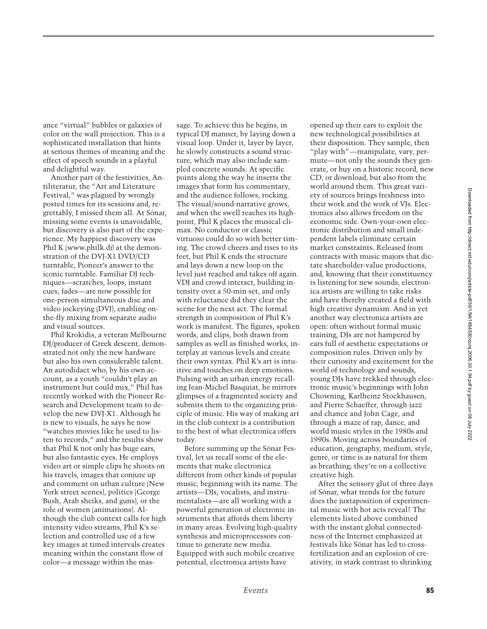ance "virtual" bubbles or galaxies of color on the wall projection. This is a sophisticated installation that hints at serious themes of meaning and the effect of speech sounds in a playful and delightful way.

Another part of the festivities, Antiliteratur, the "Art and Literature Festival," was plagued by wrongly posted times for its sessions and, regrettably, I missed them all. At Sónar, missing some events is unavoidable, but discovery is also part of the experience. My happiest discovery was Phil K (www.philk.dj) at the demonstration of the DVJ-X1 DVD/CD turntable, Pioneer's answer to the iconic turntable. Familiar DJ techniques—scratches, loops, instant cues, fades—are now possible for one-person simultaneous disc and video jockeying (DVJ), enabling onthe-fly mixing from separate audio and visual sources.

Phil Krokidis, a veteran Melbourne DJ/producer of Greek descent, demonstrated not only the new hardware but also his own considerable talent. An autodidact who, by his own account, as a youth "couldn't play an instrument but could mix," Phil has recently worked with the Pioneer Research and Development team to develop the new DVJ-X1. Although he is new to visuals, he says he now "watches movies like he used to listen to records," and the results show that Phil K not only has huge ears, but also fantastic eyes. He employs video art or simple clips he shoots on his travels, images that conjure up and comment on urban culture (New York street scenes), politics (George Bush, Arab sheiks, and guns), or the role of women (animations). Although the club context calls for high intensity video streams, Phil K's selection and controlled use of a few key images at timed intervals creates meaning within the constant flow of color—a message within the massage. To achieve this he begins, in typical DJ manner, by laying down a visual loop. Under it, layer by layer, he slowly constructs a sound structure, which may also include sampled concrete sounds. At specific points along the way he inserts the images that form his commentary, and the audience follows, rocking. The visual/sound-narrative grows, and when the swell reaches its highpoint, Phil K places the musical climax. No conductor or classic virtuoso could do so with better timing. The crowd cheers and rises to its feet, but Phil K ends the structure and lays down a new loop on the level just reached and takes off again. VDJ and crowd interact, building intensity over a 50-min set, and only with reluctance did they clear the scene for the next act. The formal strength in composition of Phil K's work is manifest. The figures, spoken words, and clips, both drawn from samples as well as finished works, interplay at various levels and create their own syntax. Phil K's art is intuitive and touches on deep emotions. Pulsing with an urban energy recalling Jean-Michel Basquiat, he mirrors glimpses of a fragmented society and submits them to the organizing principle of music. His way of making art in the club context is a contribution to the best of what electronica offers today.

Before summing up the Sónar Festival, let us recall some of the elements that make electronica different from other kinds of popular music, beginning with its name. The artists—DJs, vocalists, and instrumentalists—are all working with a powerful generation of electronic instruments that affords them liberty in many areas. Evolving high-quality synthesis and microprocessors continue to generate new media. Equipped with such mobile creative potential, electronica artists have

opened up their ears to exploit the new technological possibilities at their disposition. They sample, then "play with"—manipulate, vary, permute—not only the sounds they generate, or buy on a historic record, new CD, or download, but also from the world around them. This great variety of sources brings freshness into their work and the work of VJs. Electronics also allows freedom on the economic side. Own-your-own electronic distribution and small independent labels eliminate certain market constraints. Released from contracts with music majors that dictate shareholder-value productions, and, knowing that their constituency is listening for new sounds, electronica artists are willing to take risks and have thereby created a field with high creative dynamism. And in yet another way electronica artists are open: often without formal music training, DJs are not hampered by ears full of aesthetic expectations or composition rules. Driven only by their curiosity and excitement for the world of technology and sounds, young DJs have trekked through electronic music's beginnings with John Chowning, Karlheinz Stockhausen, and Pierre Schaeffer, through jazz and chance and John Cage, and through a maze of rap, dance, and world music styles in the 1980s and 1990s. Moving across boundaries of education, geography, medium, style, genre, or time is as natural for them as breathing; they're on a collective creative high.

After the sensory glut of three days of Sónar, what trends for the future does the juxtaposition of experimental music with hot acts reveal? The elements listed above combined with the instant global connectedness of the Internet emphasized at festivals like Sónar has led to crossfertilization and an explosion of creativity, in stark contrast to shrinking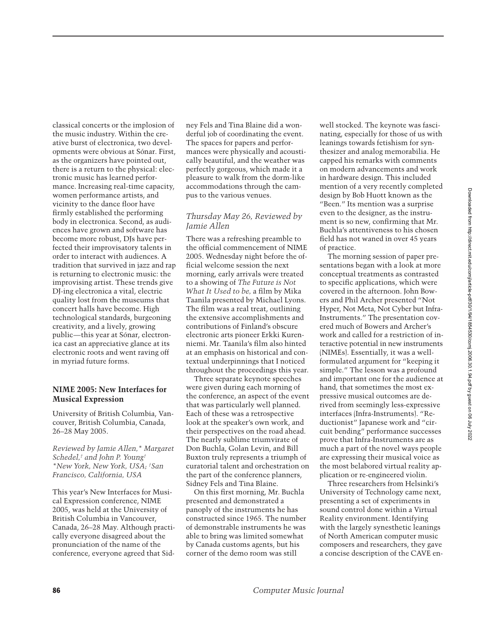classical concerts or the implosion of the music industry. Within the creative burst of electronica, two developments were obvious at Sónar. First, as the organizers have pointed out, there is a return to the physical: electronic music has learned performance. Increasing real-time capacity, women performance artists, and vicinity to the dance floor have firmly established the performing body in electronica. Second, as audiences have grown and software has become more robust, DJs have perfected their improvisatory talents in order to interact with audiences. A tradition that survived in jazz and rap is returning to electronic music: the improvising artist. These trends give DJ-ing electronica a vital, electric quality lost from the museums that concert halls have become. High technological standards, burgeoning creativity, and a lively, growing public—this year at Sónar, electronica cast an appreciative glance at its electronic roots and went raving off in myriad future forms.

#### **NIME 2005: New Interfaces for Musical Expression**

University of British Columbia, Vancouver, British Columbia, Canada, 26–28 May 2005.

*Reviewed by Jamie Allen,\* Margaret Schedel,† and John P. Young† \*New York, New York, USA; † San Francisco, California, USA*

This year's New Interfaces for Musical Expression conference, NIME 2005, was held at the University of British Columbia in Vancouver, Canada, 26–28 May. Although practically everyone disagreed about the pronunciation of the name of the conference, everyone agreed that Sid-

ney Fels and Tina Blaine did a wonderful job of coordinating the event. The spaces for papers and performances were physically and acoustically beautiful, and the weather was perfectly gorgeous, which made it a pleasure to walk from the dorm-like accommodations through the campus to the various venues.

#### *Thursday May 26, Reviewed by Jamie Allen*

There was a refreshing preamble to the official commencement of NIME 2005. Wednesday night before the official welcome session the next morning, early arrivals were treated to a showing of *The Future is Not What It Used to be,* a film by Mika Taanila presented by Michael Lyons. The film was a real treat, outlining the extensive accomplishments and contributions of Finland's obscure electronic arts pioneer Erkki Kurenniemi. Mr. Taanila's film also hinted at an emphasis on historical and contextual underpinnings that I noticed throughout the proceedings this year.

Three separate keynote speeches were given during each morning of the conference, an aspect of the event that was particularly well planned. Each of these was a retrospective look at the speaker's own work, and their perspectives on the road ahead. The nearly sublime triumvirate of Don Buchla, Golan Levin, and Bill Buxton truly represents a triumph of curatorial talent and orchestration on the part of the conference planners, Sidney Fels and Tina Blaine.

On this first morning, Mr. Buchla presented and demonstrated a panoply of the instruments he has constructed since 1965. The number of demonstrable instruments he was able to bring was limited somewhat by Canada customs agents, but his corner of the demo room was still

well stocked. The keynote was fascinating, especially for those of us with leanings towards fetishism for synthesizer and analog memorabilia. He capped his remarks with comments on modern advancements and work in hardware design. This included mention of a very recently completed design by Bob Huott known as the "Been." Its mention was a surprise even to the designer, as the instrument is so new, confirming that Mr. Buchla's attentiveness to his chosen field has not waned in over 45 years of practice.

The morning session of paper presentations began with a look at more conceptual treatments as contrasted to specific applications, which were covered in the afternoon. John Bowers and Phil Archer presented "Not Hyper, Not Meta, Not Cyber but Infra-Instruments." The presentation covered much of Bowers and Archer's work and called for a restriction of interactive potential in new instruments (NIMEs). Essentially, it was a wellformulated argument for "keeping it simple." The lesson was a profound and important one for the audience at hand, that sometimes the most expressive musical outcomes are derived from seemingly less-expressive interfaces (Infra-Instruments). "Reductionist" Japanese work and "circuit bending" performance successes prove that Infra-Instruments are as much a part of the novel ways people are expressing their musical voice as the most belabored virtual reality application or re-engineered violin.

Three researchers from Helsinki's University of Technology came next, presenting a set of experiments in sound control done within a Virtual Reality environment. Identifying with the largely synesthetic leanings of North American computer music composers and researchers, they gave a concise description of the CAVE en-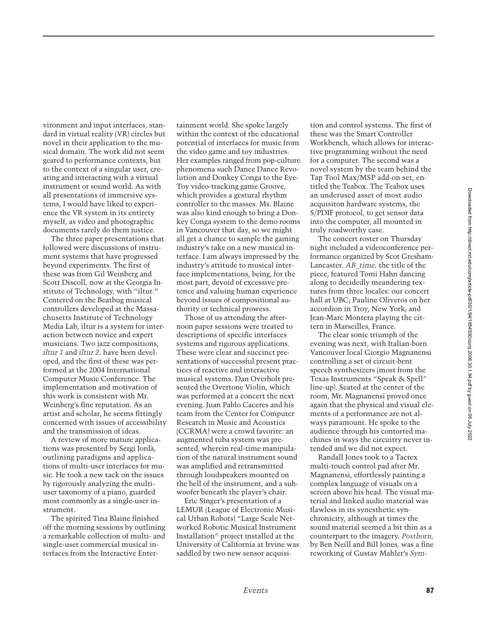vironment and input interfaces, standard in virtual reality (VR) circles but novel in their application to the musical domain. The work did not seem geared to performance contexts, but to the context of a singular user, creating and interacting with a virtual instrument or sound world. As with all presentations of immersive systems, I would have liked to experience the VR system in its entirety myself, as video and photographic documents rarely do them justice.

The three paper presentations that followed were discussions of instrument systems that have progressed beyond experiments. The first of these was from Gil Weinberg and Scott Discoll, now at the Georgia Institute of Technology, with "iltur." Centered on the Beatbug musical controllers developed at the Massachusetts Institute of Technology Media Lab, iltur is a system for interaction between novice and expert musicians. Two jazz compositions, *iltur 1* and *iltur 2,* have been developed, and the first of these was performed at the 2004 International Computer Music Conference. The implementation and motivation of this work is consistent with Mr. Weinberg's fine reputation. As an artist and scholar, he seems fittingly concerned with issues of accessibility and the transmission of ideas.

A review of more mature applications was presented by Sergi Jordà, outlining paradigms and applications of multi-user interfaces for music. He took a new tack on the issues by rigorously analyzing the multiuser taxonomy of a piano, guarded most commonly as a single-user instrument.

The spirited Tina Blaine finished off the morning sessions by outlining a remarkable collection of multi- and single-user commercial musical interfaces from the Interactive Entertainment world. She spoke largely within the context of the educational potential of interfaces for music from the video game and toy industries. Her examples ranged from pop-culture phenomena such Dance Dance Revolution and Donkey Conga to the Eye-Toy video-tracking game Groove, which provides a gestural rhythm controller to the masses. Ms. Blaine was also kind enough to bring a Donkey Conga system to the demo rooms in Vancouver that day, so we might all get a chance to sample the gaming industry's take on a new musical interface. I am always impressed by the industry's attitude to musical interface implementations, being, for the most part, devoid of excessive pretence and valuing human experience beyond issues of compositional authority or technical prowess.

Those of us attending the afternoon paper sessions were treated to descriptions of specific interfaces systems and rigorous applications. These were clear and succinct presentations of successful present practices of reactive and interactive musical systems. Dan Overholt presented the Overtone Violin, which was performed at a concert the next evening. Juan Pablo Caceres and his team from the Center for Computer Research in Music and Acoustics (CCRMA) were a crowd favorite: an augmented tuba system was presented, wherein real-time manipulation of the natural instrument sound was amplified and retransmitted through loudspeakers mounted on the bell of the instrument, and a subwoofer beneath the player's chair.

Eric Singer's presentation of a LEMUR (League of Electronic Musical Urban Robots) "Large Scale Networked Robotic Musical Instrument Installation" project installed at the University of California at Irvine was saddled by two new sensor acquisi-

tion and control systems. The first of these was the Smart Controller Workbench, which allows for interactive programming without the need for a computer. The second was a novel system by the team behind the Tap Tool Max/MSP add-on set, entitled the Teabox. The Teabox uses an underused asset of most audio acquisiton hardware systems, the S/PDIF protocol, to get sensor data into the computer, all mounted in truly roadworthy case.

The concert roster on Thursday night included a videoconference performance organized by Scot Gresham-Lancaster. *AB\_time,* the title of the piece, featured Tomi Hahn dancing along to decidedly meandering textures from three locales: our concert hall at UBC; Pauline Oliveros on her accordion in Troy, New York; and Jean-Marc Montera playing the cittern in Marseilles, France.

The clear sonic triumph of the evening was next, with Italian-born Vancouver local Giorgio Magnanensi controlling a set of circuit-bent speech synthesizers (most from the Texas Instruments "Speak & Spell" line-up). Seated at the center of the room, Mr. Magnanensi proved once again that the physical and visual elements of a performance are not always paramount. He spoke to the audience through his contorted machines in ways the circuitry never intended and we did not expect.

Randall Jones took to a Tactex multi-touch control pad after Mr. Magnanensi, effortlessly painting a complex language of visuals on a screen above his head. The visual material and linked audio material was flawless in its synesthetic synchronicity, although at times the sound material seemed a bit thin as a counterpart to the imagery. *Posthorn,* by Ben Neill and Bill Jones, was a fine reworking of Gustav Mahler's *Sym-*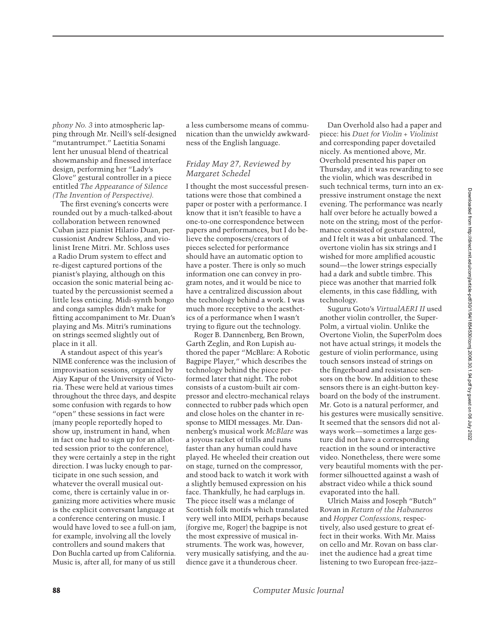*phony No. 3* into atmospheric lapping through Mr. Neill's self-designed "mutantrumpet." Laetitia Sonami lent her unusual blend of theatrical showmanship and finessed interface design, performing her "Lady's Glove" gestural controller in a piece entitled *The Appearance of Silence (The Invention of Perspective).*

The first evening's concerts were rounded out by a much-talked-about collaboration between renowned Cuban jazz pianist Hilario Duan, percussionist Andrew Schloss, and violinist Irene Mitri. Mr. Schloss uses a Radio Drum system to effect and re-digest captured portions of the pianist's playing, although on this occasion the sonic material being actuated by the percussionist seemed a little less enticing. Midi-synth bongo and conga samples didn't make for fitting accompaniment to Mr. Duan's playing and Ms. Mitri's ruminations on strings seemed slightly out of place in it all.

A standout aspect of this year's NIME conference was the inclusion of improvisation sessions, organized by Ajay Kapur of the University of Victoria. These were held at various times throughout the three days, and despite some confusion with regards to how "open" these sessions in fact were (many people reportedly hoped to show up, instrument in hand, when in fact one had to sign up for an allotted session prior to the conference), they were certainly a step in the right direction. I was lucky enough to participate in one such session, and whatever the overall musical outcome, there is certainly value in organizing more activities where music is the explicit conversant language at a conference centering on music. I would have loved to see a full-on jam, for example, involving all the lovely controllers and sound makers that Don Buchla carted up from California. Music is, after all, for many of us still

a less cumbersome means of communication than the unwieldy awkwardness of the English language.

#### *Friday May 27, Reviewed by Margaret Schedel*

I thought the most successful presentations were those that combined a paper or poster with a performance. I know that it isn't feasible to have a one-to-one correspondence between papers and performances, but I do believe the composers/creators of pieces selected for performance should have an automatic option to have a poster. There is only so much information one can convey in program notes, and it would be nice to have a centralized discussion about the technology behind a work. I was much more receptive to the aesthetics of a performance when I wasn't trying to figure out the technology.

Roger B. Dannenberg, Ben Brown, Garth Zeglin, and Ron Lupish authored the paper "McBlare: A Robotic Bagpipe Player," which describes the technology behind the piece performed later that night. The robot consists of a custom-built air compressor and electro-mechanical relays connected to rubber pads which open and close holes on the chanter in response to MIDI messages. Mr. Dannenberg's musical work *McBlare* was a joyous racket of trills and runs faster than any human could have played. He wheeled their creation out on stage, turned on the compressor, and stood back to watch it work with a slightly bemused expression on his face. Thankfully, he had earplugs in. The piece itself was a mélange of Scottish folk motifs which translated very well into MIDI, perhaps because (forgive me, Roger) the bagpipe is not the most expressive of musical instruments. The work was, however, very musically satisfying, and the audience gave it a thunderous cheer.

Dan Overhold also had a paper and piece: his *Duet for Violin + Violinist* and corresponding paper dovetailed nicely. As mentioned above, Mr. Overhold presented his paper on Thursday, and it was rewarding to see the violin, which was described in such technical terms, turn into an expressive instrument onstage the next evening. The performance was nearly half over before he actually bowed a note on the string; most of the performance consisted of gesture control, and I felt it was a bit unbalanced. The overtone violin has six strings and I wished for more amplified acoustic sound—the lower strings especially had a dark and subtle timbre. This piece was another that married folk elements, in this case fiddling, with technology.

Suguru Goto's *VirtualAERI II* used another violin controller, the Super-Polm, a virtual violin. Unlike the Overtone Violin, the SuperPolm does not have actual strings; it models the gesture of violin performance, using touch sensors instead of strings on the fingerboard and resistance sensors on the bow. In addition to these sensors there is an eight-button keyboard on the body of the instrument. Mr. Goto is a natural performer, and his gestures were musically sensitive. It seemed that the sensors did not always work—sometimes a large gesture did not have a corresponding reaction in the sound or interactive video. Nonetheless, there were some very beautiful moments with the performer silhouetted against a wash of abstract video while a thick sound evaporated into the hall.

Ulrich Maiss and Joseph "Butch" Rovan in *Return of the Habaneros* and *Hopper Confessions,* respectively, also used gesture to great effect in their works. With Mr. Maiss on cello and Mr. Rovan on bass clarinet the audience had a great time listening to two European free-jazz–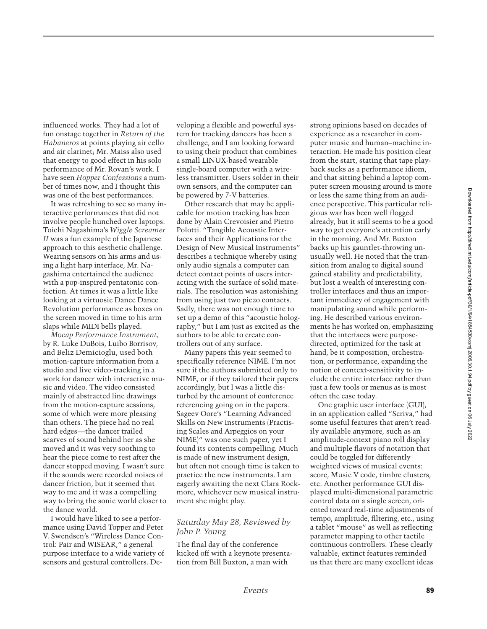influenced works. They had a lot of fun onstage together in *Return of the Habaneros* at points playing air cello and air clarinet; Mr. Maiss also used that energy to good effect in his solo performance of Mr. Rovan's work. I have seen *Hopper Confessions* a number of times now, and I thought this was one of the best performances.

It was refreshing to see so many interactive performances that did not involve people hunched over laptops. Toichi Nagashima's *Wiggle Screamer II* was a fun example of the Japanese approach to this aesthetic challenge. Wearing sensors on his arms and using a light harp interface, Mr. Nagashima entertained the audience with a pop-inspired pentatonic confection. At times it was a little like looking at a virtuosic Dance Dance Revolution performance as boxes on the screen moved in time to his arm slaps while MIDI bells played.

*Mocap Performance Instrument,* by R. Luke DuBois, Luibo Borrisov, and Beliz Demicioglu, used both motion-capture information from a studio and live video-tracking in a work for dancer with interactive music and video. The video consisted mainly of abstracted line drawings from the motion-capture sessions, some of which were more pleasing than others. The piece had no real hard edges—the dancer trailed scarves of sound behind her as she moved and it was very soothing to hear the piece come to rest after the dancer stopped moving. I wasn't sure if the sounds were recorded noises of dancer friction, but it seemed that way to me and it was a compelling way to bring the sonic world closer to the dance world.

I would have liked to see a performance using David Topper and Peter V. Swendsen's "Wireless Dance Control: Pair and WISEAR," a general purpose interface to a wide variety of sensors and gestural controllers. Developing a flexible and powerful system for tracking dancers has been a challenge, and I am looking forward to using their product that combines a small LINUX-based wearable single-board computer with a wireless transmitter. Users solder in their own sensors, and the computer can be powered by 7-V batteries.

Other research that may be applicable for motion tracking has been done by Alain Crevoisier and Pietro Polotti. "Tangible Acoustic Interfaces and their Applications for the Design of New Musical Instruments" describes a technique whereby using only audio signals a computer can detect contact points of users interacting with the surface of solid materials. The resolution was astonishing from using just two piezo contacts. Sadly, there was not enough time to set up a demo of this "acoustic holography," but I am just as excited as the authors to be able to create controllers out of any surface.

Many papers this year seemed to specifically reference NIME. I'm not sure if the authors submitted only to NIME, or if they tailored their papers accordingly, but I was a little disturbed by the amount of conference referencing going on in the papers. Sageev Oore's "Learning Advanced Skills on New Instruments (Practising Scales and Arpeggios on your NIME)" was one such paper, yet I found its contents compelling. Much is made of new instrument design, but often not enough time is taken to practice the new instruments. I am eagerly awaiting the next Clara Rockmore, whichever new musical instrument she might play.

## *Saturday May 28, Reviewed by John P. Young*

The final day of the conference kicked off with a keynote presentation from Bill Buxton, a man with

strong opinions based on decades of experience as a researcher in computer music and human–machine interaction. He made his position clear from the start, stating that tape playback sucks as a performance idiom, and that sitting behind a laptop computer screen mousing around is more or less the same thing from an audience perspective. This particular religious war has been well flogged already, but it still seems to be a good way to get everyone's attention early in the morning. And Mr. Buxton backs up his gauntlet-throwing unusually well. He noted that the transition from analog to digital sound gained stability and predictability, but lost a wealth of interesting controller interfaces and thus an important immediacy of engagement with manipulating sound while performing. He described various environments he has worked on, emphasizing that the interfaces were purposedirected, optimized for the task at hand, be it composition, orchestration, or performance, expanding the notion of context-sensitivity to include the entire interface rather than just a few tools or menus as is most often the case today.

One graphic user interface (GUI), in an application called "Scriva," had some useful features that aren't readily available anymore, such as an amplitude-context piano roll display and multiple flavors of notation that could be toggled for differently weighted views of musical events: score, Music V code, timbre clusters, etc. Another performance GUI displayed multi-dimensional parametric control data on a single screen, oriented toward real-time adjustments of tempo, amplitude, filtering, etc., using a tablet "mouse" as well as reflecting parameter mapping to other tactile continuous controllers. These clearly valuable, extinct features reminded us that there are many excellent ideas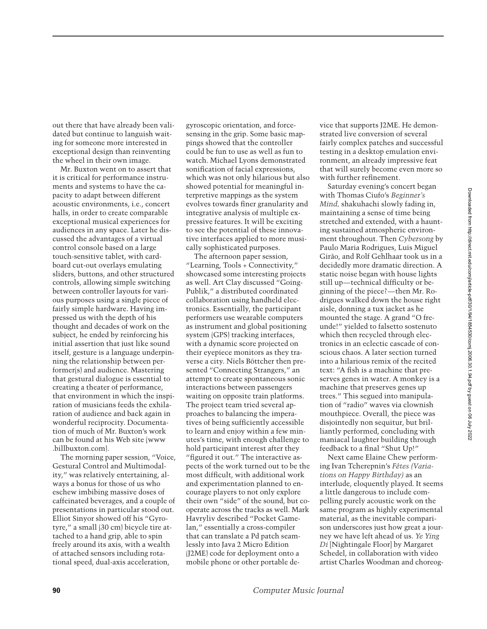out there that have already been validated but continue to languish waiting for someone more interested in exceptional design than reinventing the wheel in their own image.

Mr. Buxton went on to assert that it is critical for performance instruments and systems to have the capacity to adapt between different acoustic environments, i.e., concert halls, in order to create comparable exceptional musical experiences for audiences in any space. Later he discussed the advantages of a virtual control console based on a large touch-sensitive tablet, with cardboard cut-out overlays emulating sliders, buttons, and other structured controls, allowing simple switching between controller layouts for various purposes using a single piece of fairly simple hardware. Having impressed us with the depth of his thought and decades of work on the subject, he ended by reinforcing his initial assertion that just like sound itself, gesture is a language underpinning the relationship between performer(s) and audience. Mastering that gestural dialogue is essential to creating a theater of performance, that environment in which the inspiration of musicians feeds the exhilaration of audience and back again in wonderful reciprocity. Documentation of much of Mr. Buxton's work can be found at his Web site (www .billbuxton.com).

The morning paper session, "Voice, Gestural Control and Multimodality," was relatively entertaining, always a bonus for those of us who eschew imbibing massive doses of caffeinated beverages, and a couple of presentations in particular stood out. Elliot Sinyor showed off his "Gyrotyre," a small (30 cm) bicycle tire attached to a hand grip, able to spin freely around its axis, with a wealth of attached sensors including rotational speed, dual-axis acceleration,

gyroscopic orientation, and forcesensing in the grip. Some basic mappings showed that the controller could be fun to use as well as fun to watch. Michael Lyons demonstrated sonification of facial expressions, which was not only hilarious but also showed potential for meaningful interpretive mappings as the system evolves towards finer granularity and integrative analysis of multiple expressive features. It will be exciting to see the potential of these innovative interfaces applied to more musically sophisticated purposes.

The afternoon paper session, "Learning, Tools + Connectivity," showcased some interesting projects as well. Art Clay discussed "Going-Publik," a distributed coordinated collaboration using handheld electronics. Essentially, the participant performers use wearable computers as instrument and global positioning system (GPS) tracking interfaces, with a dynamic score projected on their eyepiece monitors as they traverse a city. Niels Böttcher then presented "Connecting Strangers," an attempt to create spontaneous sonic interactions between passengers waiting on opposite train platforms. The project team tried several approaches to balancing the imperatives of being sufficiently accessible to learn and enjoy within a few minutes's time, with enough challenge to hold participant interest after they "figured it out." The interactive aspects of the work turned out to be the most difficult, with additional work and experimentation planned to encourage players to not only explore their own "side" of the sound, but cooperate across the tracks as well. Mark Havryliv described "Pocket Gamelan," essentially a cross-compiler that can translate a Pd patch seamlessly into Java 2 Micro Edition (J2ME) code for deployment onto a mobile phone or other portable device that supports J2ME. He demonstrated live conversion of several fairly complex patches and successful testing in a desktop emulation environment, an already impressive feat that will surely become even more so with further refinement.

Saturday evening's concert began with Thomas Ciufo's *Beginner's Mind,* shakuhachi slowly fading in, maintaining a sense of time being stretched and extended, with a haunting sustained atmospheric environment throughout. Then *Cybersong* by Paulo Maria Rodrigues, Luis Miguel Girão, and Rolf Gehlhaar took us in a decidedly more dramatic direction. A static noise began with house lights still up—technical difficulty or beginning of the piece?—then Mr. Rodrigues walked down the house right aisle, donning a tux jacket as he mounted the stage. A grand "O freunde!" yielded to falsetto sostenuto which then recycled through electronics in an eclectic cascade of conscious chaos. A later section turned into a hilarious remix of the recited text: "A fish is a machine that preserves genes in water. A monkey is a machine that preserves genes up trees." This segued into manipulation of "radio" waves via clownish mouthpiece. Overall, the piece was disjointedly non sequitur, but brilliantly performed, concluding with maniacal laughter building through feedback to a final "Shut Up!"

Next came Elaine Chew performing Ivan Tcherepnin's *Fêtes (Variations on Happy Birthday)* as an interlude, eloquently played. It seems a little dangerous to include compelling purely acoustic work on the same program as highly experimental material, as the inevitable comparison underscores just how great a journey we have left ahead of us. *Ye Ying Di* [Nightingale Floor] by Margaret Schedel, in collaboration with video artist Charles Woodman and choreog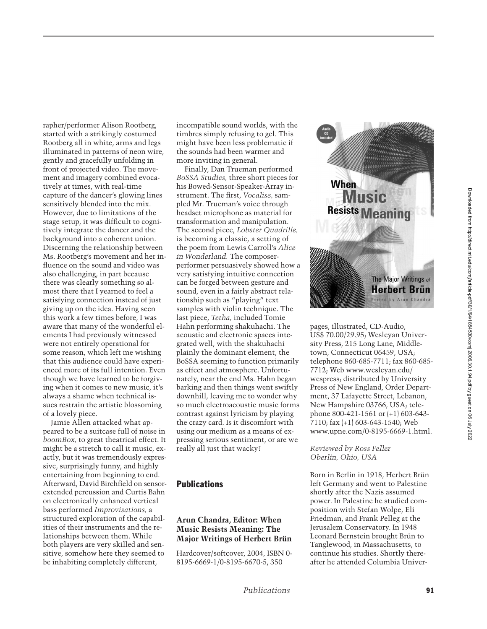rapher/performer Alison Rootberg, started with a strikingly costumed Rootberg all in white, arms and legs illuminated in patterns of neon wire, gently and gracefully unfolding in front of projected video. The movement and imagery combined evocatively at times, with real-time capture of the dancer's glowing lines sensitively blended into the mix. However, due to limitations of the stage setup, it was difficult to cognitively integrate the dancer and the background into a coherent union. Discerning the relationship between Ms. Rootberg's movement and her influence on the sound and video was also challenging, in part because there was clearly something so almost there that I yearned to feel a satisfying connection instead of just giving up on the idea. Having seen this work a few times before, I was aware that many of the wonderful elements I had previously witnessed were not entirely operational for some reason, which left me wishing that this audience could have experienced more of its full intention. Even though we have learned to be forgiving when it comes to new music, it's always a shame when technical issues restrain the artistic blossoming of a lovely piece.

Jamie Allen attacked what appeared to be a suitcase full of noise in *boomBox,* to great theatrical effect. It might be a stretch to call it music, exactly, but it was tremendously expressive, surprisingly funny, and highly entertaining from beginning to end. Afterward, David Birchfield on sensorextended percussion and Curtis Bahn on electronically enhanced vertical bass performed *Improvisations,* a structured exploration of the capabilities of their instruments and the relationships between them. While both players are very skilled and sensitive, somehow here they seemed to be inhabiting completely different,

incompatible sound worlds, with the timbres simply refusing to gel. This might have been less problematic if the sounds had been warmer and more inviting in general.

Finally, Dan Trueman performed *BoSSA Studies,* three short pieces for his Bowed-Sensor-Speaker-Array instrument. The first, *Vocalise,* sampled Mr. Trueman's voice through headset microphone as material for transformation and manipulation. The second piece, *Lobster Quadrille,* is becoming a classic, a setting of the poem from Lewis Carroll's *Alice in Wonderland.* The composerperformer persuasively showed how a very satisfying intuitive connection can be forged between gesture and sound, even in a fairly abstract relationship such as "playing" text samples with violin technique. The last piece, *Tetha,* included Tomie Hahn performing shakuhachi. The acoustic and electronic spaces integrated well, with the shakuhachi plainly the dominant element, the BoSSA seeming to function primarily as effect and atmosphere. Unfortunately, near the end Ms. Hahn began barking and then things went swiftly downhill, leaving me to wonder why so much electroacoustic music forms contrast against lyricism by playing the crazy card. Is it discomfort with using our medium as a means of expressing serious sentiment, or are we really all just that wacky?

# **Publications**

## **Arun Chandra, Editor: When Music Resists Meaning: The Major Writings of Herbert Brün**

Hardcover/softcover, 2004, ISBN 0- 8195-6669-1/0-8195-6670-5, 350



pages, illustrated, CD-Audio, US\$ 70.00/29.95; Wesleyan University Press, 215 Long Lane, Middletown, Connecticut 06459, USA; telephone 860-685-7711; fax 860-685- 7712; Web www.wesleyan.edu/ wespress; distributed by University Press of New England, Order Department, 37 Lafayette Street, Lebanon, New Hampshire 03766, USA; telephone 800-421-1561 or (+1) 603-643- 7110; fax (+1) 603-643-1540; Web www.upne.com/0-8195-6669-1.html.

*Reviewed by Ross Feller Oberlin, Ohio, USA*

Born in Berlin in 1918, Herbert Brün left Germany and went to Palestine shortly after the Nazis assumed power. In Palestine he studied composition with Stefan Wolpe, Eli Friedman, and Frank Pelleg at the Jerusalem Conservatory. In 1948 Leonard Bernstein brought Brün to Tanglewood, in Massachusetts, to continue his studies. Shortly thereafter he attended Columbia Univer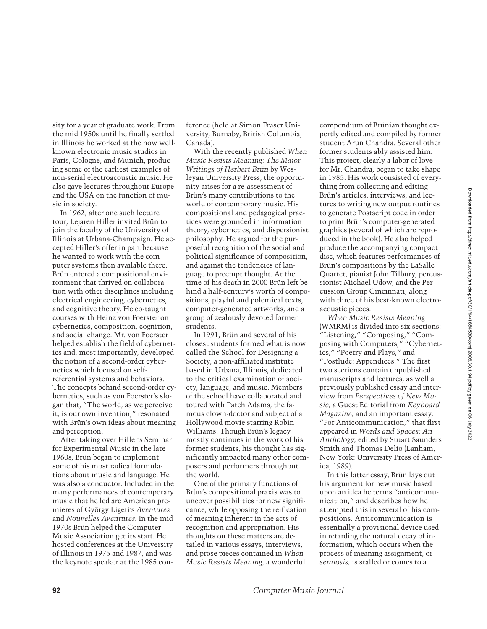sity for a year of graduate work. From the mid 1950s until he finally settled in Illinois he worked at the now wellknown electronic music studios in Paris, Cologne, and Munich, producing some of the earliest examples of non-serial electroacoustic music. He also gave lectures throughout Europe and the USA on the function of music in society.

In 1962, after one such lecture tour, Lejaren Hiller invited Brün to join the faculty of the University of Illinois at Urbana-Champaign. He accepted Hiller's offer in part because he wanted to work with the computer systems then available there. Brün entered a compositional environment that thrived on collaboration with other disciplines including electrical engineering, cybernetics, and cognitive theory. He co-taught courses with Heinz von Foerster on cybernetics, composition, cognition, and social change. Mr. von Foerster helped establish the field of cybernetics and, most importantly, developed the notion of a second-order cybernetics which focused on selfreferential systems and behaviors. The concepts behind second-order cybernetics, such as von Foerster's slogan that, "The world, as we perceive it, is our own invention," resonated with Brün's own ideas about meaning and perception.

After taking over Hiller's Seminar for Experimental Music in the late 1960s, Brün began to implement some of his most radical formulations about music and language. He was also a conductor. Included in the many performances of contemporary music that he led are American premieres of György Ligeti's *Aventures* and *Nouvelles Aventures.* In the mid 1970s Brün helped the Computer Music Association get its start. He hosted conferences at the University of Illinois in 1975 and 1987, and was the keynote speaker at the 1985 conference (held at Simon Fraser University, Burnaby, British Columbia, Canada).

With the recently published *When Music Resists Meaning: The Major Writings of Herbert Brün* by Wesleyan University Press, the opportunity arises for a re-assessment of Brün's many contributions to the world of contemporary music. His compositional and pedagogical practices were grounded in information theory, cybernetics, and dispersionist philosophy. He argued for the purposeful recognition of the social and political significance of composition, and against the tendencies of language to preempt thought. At the time of his death in 2000 Brün left behind a half-century's worth of compositions, playful and polemical texts, computer-generated artworks, and a group of zealously devoted former students.

In 1991, Brün and several of his closest students formed what is now called the School for Designing a Society, a non-affiliated institute based in Urbana, Illinois, dedicated to the critical examination of society, language, and music. Members of the school have collaborated and toured with Patch Adams, the famous clown-doctor and subject of a Hollywood movie starring Robin Williams. Though Brün's legacy mostly continues in the work of his former students, his thought has significantly impacted many other composers and performers throughout the world.

One of the primary functions of Brün's compositional praxis was to uncover possibilities for new significance, while opposing the reification of meaning inherent in the acts of recognition and appropriation. His thoughts on these matters are detailed in various essays, interviews, and prose pieces contained in *When Music Resists Meaning,* a wonderful

compendium of Brünian thought expertly edited and compiled by former student Arun Chandra. Several other former students ably assisted him. This project, clearly a labor of love for Mr. Chandra, began to take shape in 1985. His work consisted of everything from collecting and editing Brün's articles, interviews, and lectures to writing new output routines to generate Postscript code in order to print Brün's computer-generated graphics (several of which are reproduced in the book). He also helped produce the accompanying compact disc, which features performances of Brün's compositions by the LaSalle Quartet, pianist John Tilbury, percussionist Michael Udow, and the Percussion Group Cincinnati, along with three of his best-known electroacoustic pieces.

*When Music Resists Meaning* (WMRM) is divided into six sections: "Listening," "Composing," "Composing with Computers," "Cybernetics," "Poetry and Plays," and "Postlude: Appendices." The first two sections contain unpublished manuscripts and lectures, as well a previously published essay and interview from *Perspectives of New Music,* a Guest Editorial from *Keyboard Magazine,* and an important essay, "For Anticommunication," that first appeared in *Words and Spaces: An Anthology,* edited by Stuart Saunders Smith and Thomas Delio (Lanham, New York: University Press of America, 1989).

In this latter essay, Brün lays out his argument for new music based upon an idea he terms "anticommunication," and describes how he attempted this in several of his compositions. Anticommunication is essentially a provisional device used in retarding the natural decay of information, which occurs when the process of meaning assignment, or *semiosis,* is stalled or comes to a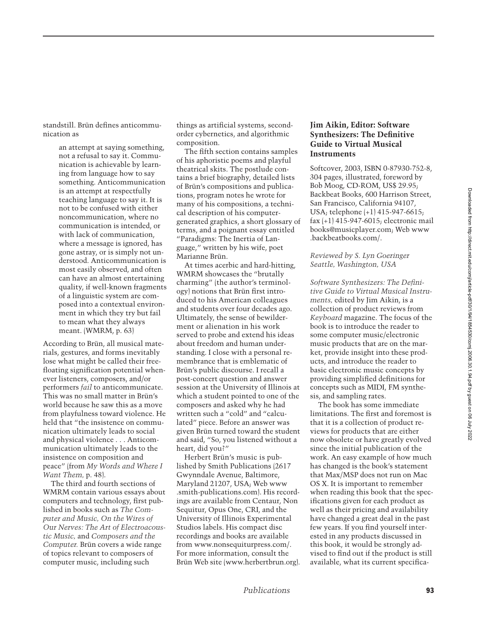standstill. Brün defines anticommunication as

> an attempt at saying something, not a refusal to say it. Communication is achievable by learning from language how to say something. Anticommunication is an attempt at respectfully teaching language to say it. It is not to be confused with either noncommunication, where no communication is intended, or with lack of communication, where a message is ignored, has gone astray, or is simply not understood. Anticommunication is most easily observed, and often can have an almost entertaining quality, if well-known fragments of a linguistic system are composed into a contextual environment in which they try but fail to mean what they always meant. (WMRM, p. 63)

According to Brün, all musical materials, gestures, and forms inevitably lose what might be called their freefloating signification potential whenever listeners, composers, and/or performers *fail* to anticommunicate. This was no small matter in Brün's world because he saw this as a move from playfulness toward violence. He held that "the insistence on communication ultimately leads to social and physical violence . . . Anticommunication ultimately leads to the insistence on composition and peace" (from *My Words and Where I Want Them,* p. 48).

The third and fourth sections of WMRM contain various essays about computers and technology, first published in books such as *The Computer and Music, On the Wires of Our Nerves: The Art of Electroacoustic Music,* and *Composers and the Computer.* Brün covers a wide range of topics relevant to composers of computer music, including such

things as artificial systems, secondorder cybernetics, and algorithmic composition.

The fifth section contains samples of his aphoristic poems and playful theatrical skits. The postlude contains a brief biography, detailed lists of Brün's compositions and publications, program notes he wrote for many of his compositions, a technical description of his computergenerated graphics, a short glossary of terms, and a poignant essay entitled "Paradigms: The Inertia of Language," written by his wife, poet Marianne Brün.

At times acerbic and hard-hitting, WMRM showcases the "brutally charming" (the author's terminology) notions that Brün first introduced to his American colleagues and students over four decades ago. Ultimately, the sense of bewilderment or alienation in his work served to probe and extend his ideas about freedom and human understanding. I close with a personal remembrance that is emblematic of Brün's public discourse. I recall a post-concert question and answer session at the University of Illinois at which a student pointed to one of the composers and asked why he had written such a "cold" and "calculated" piece. Before an answer was given Brün turned toward the student and said, "So, you listened without a heart, did you?"

Herbert Brün's music is published by Smith Publications (2617 Gwynndale Avenue, Baltimore, Maryland 21207, USA; Web www .smith-publications.com). His recordings are available from Centaur, Non Sequitur, Opus One, CRI, and the University of Illinois Experimental Studios labels. His compact disc recordings and books are available from www.nonsequiturpress.com/. For more information, consult the Brün Web site (www.herbertbrun.org).

## **Jim Aikin, Editor: Software Synthesizers: The Definitive Guide to Virtual Musical Instruments**

Softcover, 2003, ISBN 0-87930-752-8, 304 pages, illustrated, foreword by Bob Moog, CD-ROM, US\$ 29.95; Backbeat Books, 600 Harrison Street, San Francisco, California 94107, USA; telephone (+1) 415-947-6615; fax (+1) 415-947-6015; electronic mail books@musicplayer.com; Web www .backbeatbooks.com/.

*Reviewed by S. Lyn Goeringer Seattle, Washington, USA*

*Software Synthesizers: The Definitive Guide to Virtual Musical Instruments,* edited by Jim Aikin, is a collection of product reviews from *Keyboard* magazine. The focus of the book is to introduce the reader to some computer music/electronic music products that are on the market, provide insight into these products, and introduce the reader to basic electronic music concepts by providing simplified definitions for concepts such as MIDI, FM synthesis, and sampling rates.

The book has some immediate limitations. The first and foremost is that it is a collection of product reviews for products that are either now obsolete or have greatly evolved since the initial publication of the work. An easy example of how much has changed is the book's statement that Max/MSP does not run on Mac OS X. It is important to remember when reading this book that the specifications given for each product as well as their pricing and availability have changed a great deal in the past few years. If you find yourself interested in any products discussed in this book, it would be strongly advised to find out if the product is still available, what its current specifica-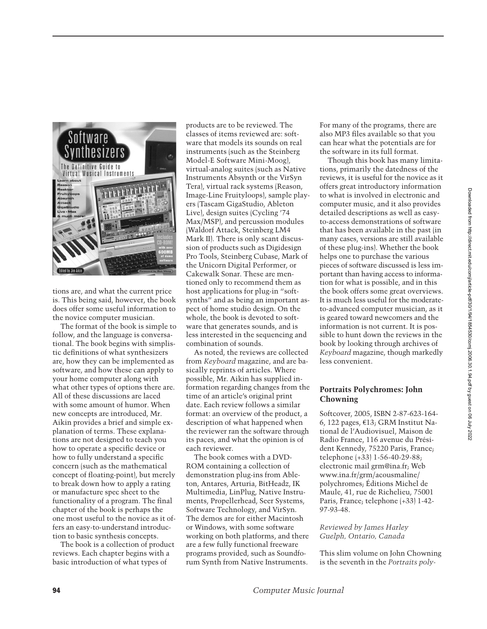

tions are, and what the current price is. This being said, however, the book does offer some useful information to the novice computer musician.

The format of the book is simple to follow, and the language is conversational. The book begins with simplistic definitions of what synthesizers are, how they can be implemented as software, and how these can apply to your home computer along with what other types of options there are. All of these discussions are laced with some amount of humor. When new concepts are introduced, Mr. Aikin provides a brief and simple explanation of terms. These explanations are not designed to teach you how to operate a specific device or how to fully understand a specific concern (such as the mathematical concept of floating-point), but merely to break down how to apply a rating or manufacture spec sheet to the functionality of a program. The final chapter of the book is perhaps the one most useful to the novice as it offers an easy-to-understand introduction to basic synthesis concepts.

The book is a collection of product reviews. Each chapter begins with a basic introduction of what types of

products are to be reviewed. The classes of items reviewed are: software that models its sounds on real instruments (such as the Steinberg Model-E Software Mini-Moog), virtual-analog suites (such as Native Instruments Absynth or the VirSyn Tera), virtual rack systems (Reason, Image-Line Fruityloops), sample players (Tascam GigaStudio, Ableton Live), design suites (Cycling '74 Max/MSP), and percussion modules (Waldorf Attack, Steinberg LM4 Mark II). There is only scant discussion of products such as Digidesign Pro Tools, Steinberg Cubase, Mark of the Unicorn Digital Performer, or Cakewalk Sonar. These are mentioned only to recommend them as host applications for plug-in "softsynths" and as being an important aspect of home studio design. On the whole, the book is devoted to software that generates sounds, and is less interested in the sequencing and combination of sounds.

As noted, the reviews are collected from *Keyboard* magazine, and are basically reprints of articles. Where possible, Mr. Aikin has supplied information regarding changes from the time of an article's original print date. Each review follows a similar format: an overview of the product, a description of what happened when the reviewer ran the software through its paces, and what the opinion is of each reviewer.

The book comes with a DVD-ROM containing a collection of demonstration plug-ins from Ableton, Antares, Arturia, BitHeadz, IK Multimedia, LinPlug, Native Instruments, Propellerhead, Seer Systems, Software Technology, and VirSyn. The demos are for either Macintosh or Windows, with some software working on both platforms, and there are a few fully functional freeware programs provided, such as Soundforum Synth from Native Instruments.

For many of the programs, there are also MP3 files available so that you can hear what the potentials are for the software in its full format.

Though this book has many limitations, primarily the datedness of the reviews, it is useful for the novice as it offers great introductory information to what is involved in electronic and computer music, and it also provides detailed descriptions as well as easyto-access demonstrations of software that has been available in the past (in many cases, versions are still available of these plug-ins). Whether the book helps one to purchase the various pieces of software discussed is less important than having access to information for what is possible, and in this the book offers some great overviews. It is much less useful for the moderateto-advanced computer musician, as it is geared toward newcomers and the information is not current. It is possible to hunt down the reviews in the book by looking through archives of *Keyboard* magazine, though markedly less convenient.

## **Portraits Polychromes: John Chowning**

Softcover, 2005, ISBN 2-87-623-164- 6, 122 pages, €13; GRM Institut National de l'Audiovisuel, Maison de Radio France, 116 avenue du Président Kennedy, 75220 Paris, France; telephone (+33) 1-56-40-29-88; electronic mail grm@ina.fr; Web www.ina.fr/grm/acousmaline/ polychromes; Éditions Michel de Maule, 41, rue de Richelieu, 75001 Paris, France; telephone (+33) 1-42- 97-93-48.

*Reviewed by James Harley Guelph, Ontario, Canada*

This slim volume on John Chowning is the seventh in the *Portraits poly-*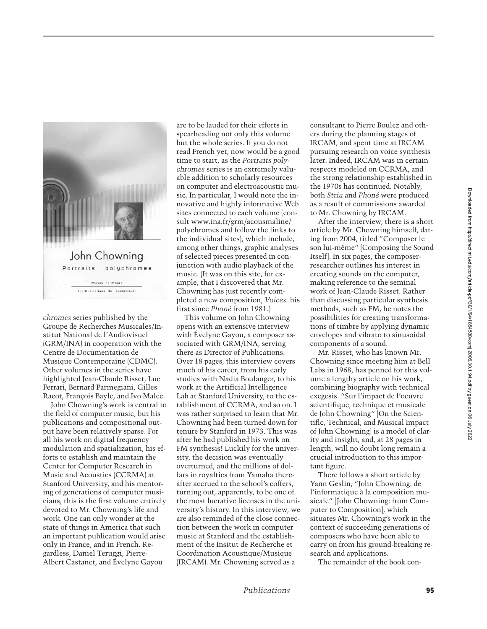

*chromes* series published by the Groupe de Recherches Musicales/Institut National de l'Audiovisuel (GRM/INA) in cooperation with the Centre de Documentation de Musique Contemporaine (CDMC). Other volumes in the series have highlighted Jean-Claude Risset, Luc Ferrari, Bernard Parmegiani, Gilles Racot, François Bayle, and Ivo Malec.

John Chowning's work is central to the field of computer music, but his publications and compositional output have been relatively sparse. For all his work on digital frequency modulation and spatialization, his efforts to establish and maintain the Center for Computer Research in Music and Acoustics (CCRMA) at Stanford University, and his mentoring of generations of computer musicians, this is the first volume entirely devoted to Mr. Chowning's life and work. One can only wonder at the state of things in America that such an important publication would arise only in France, and in French. Regardless, Daniel Teruggi, Pierre-Albert Castanet, and Évelyne Gayou

are to be lauded for their efforts in spearheading not only this volume but the whole series. If you do not read French yet, now would be a good time to start, as the *Portraits polychromes* series is an extremely valuable addition to scholarly resources on computer and electroacoustic music. In particular, I would note the innovative and highly informative Web sites connected to each volume (consult www.ina.fr/grm/acousmaline/ polychromes and follow the links to the individual sites), which include, among other things, graphic analyses of selected pieces presented in conjunction with audio playback of the music. (It was on this site, for example, that I discovered that Mr. Chowning has just recently completed a new composition, *Voices,* his first since *Phoné* from 1981.)

This volume on John Chowning opens with an extensive interview with Évelyne Gayou, a composer associated with GRM/INA, serving there as Director of Publications. Over 18 pages, this interview covers much of his career, from his early studies with Nadia Boulanger, to his work at the Artificial Intelligence Lab at Stanford University, to the establishment of CCRMA, and so on. I was rather surprised to learn that Mr. Chowning had been turned down for tenure by Stanford in 1973. This was after he had published his work on FM synthesis! Luckily for the university, the decision was eventually overturned, and the millions of dollars in royalties from Yamaha thereafter accrued to the school's coffers, turning out, apparently, to be one of the most lucrative licenses in the university's history. In this interview, we are also reminded of the close connection between the work in computer music at Stanford and the establishment of the Insitut de Recherche et Coordination Acoustique/Musique (IRCAM). Mr. Chowning served as a

consultant to Pierre Boulez and others during the planning stages of IRCAM, and spent time at IRCAM pursuing research on voice synthesis later. Indeed, IRCAM was in certain respects modeled on CCRMA, and the strong relationship established in the 1970s has continued. Notably, both *Stria* and *Phoné* were produced as a result of commissions awarded to Mr. Chowning by IRCAM.

After the interview, there is a short article by Mr. Chowning himself, dating from 2004, titled "Composer le son lui-même" [Composing the Sound Itself]. In six pages, the composerresearcher outlines his interest in creating sounds on the computer, making reference to the seminal work of Jean-Claude Risset. Rather than discussing particular synthesis methods, such as FM, he notes the possibilities for creating transformations of timbre by applying dynamic envelopes and vibrato to sinusoidal components of a sound.

Mr. Risset, who has known Mr. Chowning since meeting him at Bell Labs in 1968, has penned for this volume a lengthy article on his work, combining biography with technical exegesis. "Sur l'impact de l'oeuvre scientifique, technique et musicale de John Chowning" [On the Scientific, Technical, and Musical Impact of John Chowning] is a model of clarity and insight, and, at 28 pages in length, will no doubt long remain a crucial introduction to this important figure.

There follows a short article by Yann Geslin, "John Chowning: de l'informatique à la composition musicale" [John Chowning: from Computer to Composition], which situates Mr. Chowning's work in the context of succeeding generations of composers who have been able to carry on from his ground-breaking research and applications.

The remainder of the book con-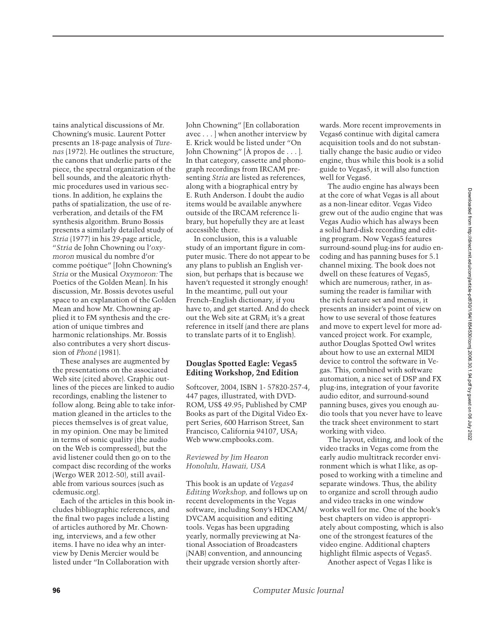tains analytical discussions of Mr. Chowning's music. Laurent Potter presents an 18-page analysis of *Turenas* (1972). He outlines the structure, the canons that underlie parts of the piece, the spectral organization of the bell sounds, and the aleatoric rhythmic procedures used in various sections. In addition, he explains the paths of spatialization, the use of reverberation, and details of the FM synthesis algorithm. Bruno Bossis presents a similarly detailed study of *Stria* (1977) in his 29-page article, "*Stria* de John Chowning ou l'*oxymoron* musical du nombre d'or comme poétique" [John Chowning's *Stria* or the Musical *Oxymoron:* The Poetics of the Golden Mean]. In his discussion, Mr. Bossis devotes useful space to an explanation of the Golden Mean and how Mr. Chowning applied it to FM synthesis and the creation of unique timbres and harmonic relationships. Mr. Bossis also contributes a very short discussion of *Phoné* (1981).

These analyses are augmented by the presentations on the associated Web site (cited above). Graphic outlines of the pieces are linked to audio recordings, enabling the listener to follow along. Being able to take information gleaned in the articles to the pieces themselves is of great value, in my opinion. One may be limited in terms of sonic quality (the audio on the Web is compressed), but the avid listener could then go on to the compact disc recording of the works (Wergo WER 2012-50), still available from various sources (such as cdemusic.org).

Each of the articles in this book includes bibliographic references, and the final two pages include a listing of articles authored by Mr. Chowning, interviews, and a few other items. I have no idea why an interview by Denis Mercier would be listed under "In Collaboration with

John Chowning" [En collaboration avec . . . ] when another interview by E. Krick would be listed under "On John Chowning" [À propos de . . . ]. In that category, cassette and phonograph recordings from IRCAM presenting *Stria* are listed as references, along with a biographical entry by E. Ruth Anderson. I doubt the audio items would be available anywhere outside of the IRCAM reference library, but hopefully they are at least accessible there.

In conclusion, this is a valuable study of an important figure in computer music. There do not appear to be any plans to publish an English version, but perhaps that is because we haven't requested it strongly enough! In the meantime, pull out your French–English dictionary, if you have to, and get started. And do check out the Web site at GRM; it's a great reference in itself (and there are plans to translate parts of it to English).

## **Douglas Spotted Eagle: Vegas5 Editing Workshop, 2nd Edition**

Softcover, 2004, ISBN 1- 57820-257-4, 447 pages, illustrated, with DVD-ROM, US\$ 49.95; Published by CMP Books as part of the Digital Video Expert Series, 600 Harrison Street, San Francisco, California 94107, USA; Web www.cmpbooks.com.

#### *Reviewed by Jim Hearon Honolulu, Hawaii, USA*

This book is an update of *Vegas4 Editing Workshop,* and follows up on recent developments in the Vegas software, including Sony's HDCAM/ DVCAM acquisition and editing tools. Vegas has been upgrading yearly, normally previewing at National Association of Broadcasters (NAB) convention, and announcing their upgrade version shortly afterwards. More recent improvements in Vegas6 continue with digital camera acquisition tools and do not substantially change the basic audio or video engine, thus while this book is a solid guide to Vegas5, it will also function well for Vegas6.

The audio engine has always been at the core of what Vegas is all about as a non-linear editor. Vegas Video grew out of the audio engine that was Vegas Audio which has always been a solid hard-disk recording and editing program. Now Vegas5 features surround-sound plug-ins for audio encoding and has panning buses for 5.1 channel mixing. The book does not dwell on these features of Vegas5, which are numerous; rather, in assuming the reader is familiar with the rich feature set and menus, it presents an insider's point of view on how to use several of those features and move to expert level for more advanced project work. For example, author Douglas Spotted Owl writes about how to use an external MIDI device to control the software in Vegas. This, combined with software automation, a nice set of DSP and FX plug-ins, integration of your favorite audio editor, and surround-sound panning buses, gives you enough audio tools that you never have to leave the track sheet environment to start working with video.

The layout, editing, and look of the video tracks in Vegas come from the early audio multitrack recorder environment which is what I like, as opposed to working with a timeline and separate windows. Thus, the ability to organize and scroll through audio and video tracks in one window works well for me. One of the book's best chapters on video is appropriately about composting, which is also one of the strongest features of the video engine. Additional chapters highlight filmic aspects of Vegas5.

Another aspect of Vegas I like is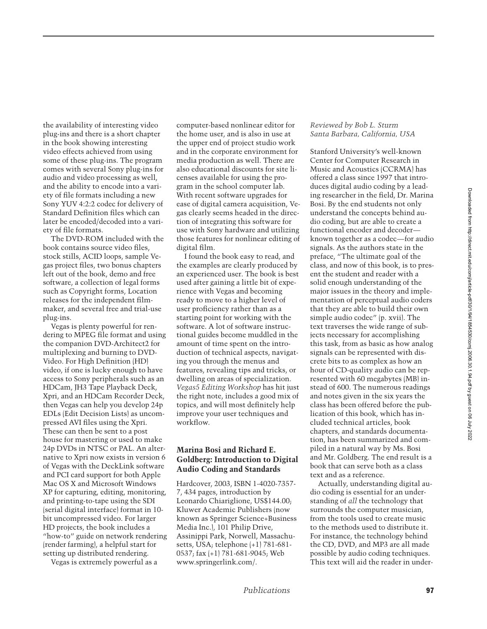the availability of interesting video plug-ins and there is a short chapter in the book showing interesting video effects achieved from using some of these plug-ins. The program comes with several Sony plug-ins for audio and video processing as well, and the ability to encode into a variety of file formats including a new Sony YUV 4:2:2 codec for delivery of Standard Definition files which can later be encoded/decoded into a variety of file formats.

The DVD-ROM included with the book contains source video files, stock stills, ACID loops, sample Vegas project files, two bonus chapters left out of the book, demo and free software, a collection of legal forms such as Copyright forms, Location releases for the independent filmmaker, and several free and trial-use plug-ins.

Vegas is plenty powerful for rendering to MPEG file format and using the companion DVD-Architect2 for multiplexing and burning to DVD-Video. For High Definition (HD) video, if one is lucky enough to have access to Sony peripherals such as an HDCam, JH3 Tape Playback Deck, Xpri, and an HDCam Recorder Deck, then Vegas can help you develop 24p EDLs (Edit Decision Lists) as uncompressed AVI files using the Xpri. These can then be sent to a post house for mastering or used to make 24p DVDs in NTSC or PAL. An alternative to Xpri now exists in version 6 of Vegas with the DeckLink software and PCI card support for both Apple Mac OS X and Microsoft Windows XP for capturing, editing, monitoring, and printing-to-tape using the SDI (serial digital interface) format in 10 bit uncompressed video. For larger HD projects, the book includes a "how-to" guide on network rendering (render farming), a helpful start for setting up distributed rendering.

Vegas is extremely powerful as a

computer-based nonlinear editor for the home user, and is also in use at the upper end of project studio work and in the corporate environment for media production as well. There are also educational discounts for site licenses available for using the program in the school computer lab. With recent software upgrades for ease of digital camera acquisition, Vegas clearly seems headed in the direction of integrating this software for use with Sony hardware and utilizing those features for nonlinear editing of digital film.

I found the book easy to read, and the examples are clearly produced by an experienced user. The book is best used after gaining a little bit of experience with Vegas and becoming ready to move to a higher level of user proficiency rather than as a starting point for working with the software. A lot of software instructional guides become muddled in the amount of time spent on the introduction of technical aspects, navigating you through the menus and features, revealing tips and tricks, or dwelling on areas of specialization. *Vegas5 Editing Workshop* has hit just the right note, includes a good mix of topics, and will most definitely help improve your user techniques and workflow.

## **Marina Bosi and Richard E. Goldberg: Introduction to Digital Audio Coding and Standards**

Hardcover, 2003, ISBN 1-4020-7357- 7, 434 pages, introduction by Leonardo Chiariglione, US\$144.00; Kluwer Academic Publishers (now known as Springer Science+Business Media Inc.), 101 Philip Drive, Assinippi Park, Norwell, Massachusetts, USA; telephone (+1) 781-681- 0537; fax (+1) 781-681-9045; Web www.springerlink.com/.

#### *Reviewed by Bob L. Sturm Santa Barbara, California, USA*

Stanford University's well-known Center for Computer Research in Music and Acoustics (CCRMA) has offered a class since 1997 that introduces digital audio coding by a leading researcher in the field, Dr. Marina Bosi. By the end students not only understand the concepts behind audio coding, but are able to create a functional encoder and decoder known together as a codec—for audio signals. As the authors state in the preface, "The ultimate goal of the class, and now of this book, is to present the student and reader with a solid enough understanding of the major issues in the theory and implementation of perceptual audio coders that they are able to build their own simple audio codec" (p. xvii). The text traverses the wide range of subjects necessary for accomplishing this task, from as basic as how analog signals can be represented with discrete bits to as complex as how an hour of CD-quality audio can be represented with 60 megabytes (MB) instead of 600. The numerous readings and notes given in the six years the class has been offered before the publication of this book, which has included technical articles, book chapters, and standards documentation, has been summarized and compiled in a natural way by Ms. Bosi and Mr. Goldberg. The end result is a book that can serve both as a class text and as a reference.

Actually, understanding digital audio coding is essential for an understanding of *all* the technology that surrounds the computer musician, from the tools used to create music to the methods used to distribute it. For instance, the technology behind the CD, DVD, and MP3 are all made possible by audio coding techniques. This text will aid the reader in under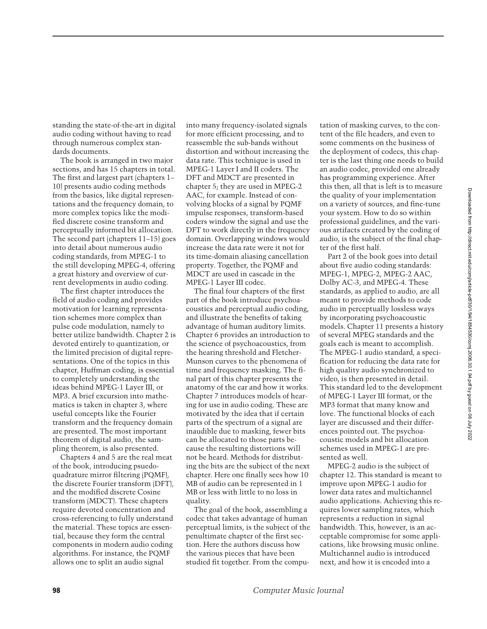standing the state-of-the-art in digital audio coding without having to read through numerous complex standards documents.

The book is arranged in two major sections, and has 15 chapters in total. The first and largest part (chapters 1– 10) presents audio coding methods from the basics, like digital representations and the frequency domain, to more complex topics like the modified discrete cosine transform and perceptually informed bit allocation. The second part (chapters 11–15) goes into detail about numerous audio coding standards, from MPEG-1 to the still developing MPEG-4, offering a great history and overview of current developments in audio coding.

The first chapter introduces the field of audio coding and provides motivation for learning representation schemes more complex than pulse code modulation, namely to better utilize bandwidth. Chapter 2 is devoted entirely to quantization, or the limited precision of digital representations. One of the topics in this chapter, Huffman coding, is essential to completely understanding the ideas behind MPEG-1 Layer III, or MP3. A brief excursion into mathematics is taken in chapter 3, where useful concepts like the Fourier transform and the frequency domain are presented. The most important theorem of digital audio, the sampling theorem, is also presented.

Chapters 4 and 5 are the real meat of the book, introducing psuedoquadrature mirror filtering (PQMF), the discrete Fourier transform (DFT), and the modified discrete Cosine transform (MDCT). These chapters require devoted concentration and cross-referencing to fully understand the material. These topics are essential, because they form the central components in modern audio coding algorithms. For instance, the PQMF allows one to split an audio signal

into many frequency-isolated signals for more efficient processing, and to reassemble the sub-bands without distortion and without increasing the data rate. This technique is used in MPEG-1 Layer I and II coders. The DFT and MDCT are presented in chapter 5; they are used in MPEG-2 AAC, for example. Instead of convolving blocks of a signal by PQMF impulse responses, transform-based coders window the signal and use the DFT to work directly in the frequency domain. Overlapping windows would increase the data rate were it not for its time-domain aliasing cancellation property. Together, the PQMF and MDCT are used in cascade in the MPEG-1 Layer III codec.

The final four chapters of the first part of the book introduce psychoacoustics and perceptual audio coding, and illustrate the benefits of taking advantage of human auditory limits. Chapter 6 provides an introduction to the science of psychoacoustics, from the hearing threshold and Fletcher-Munson curves to the phenomena of time and frequency masking. The final part of this chapter presents the anatomy of the ear and how it works. Chapter 7 introduces models of hearing for use in audio coding. These are motivated by the idea that if certain parts of the spectrum of a signal are inaudible due to masking, fewer bits can be allocated to those parts because the resulting distortions will not be heard. Methods for distributing the bits are the subject of the next chapter. Here one finally sees how 10 MB of audio can be represented in 1 MB or less with little to no loss in quality.

The goal of the book, assembling a codec that takes advantage of human perceptual limits, is the subject of the penultimate chapter of the first section. Here the authors discuss how the various pieces that have been studied fit together. From the compu-

tation of masking curves, to the content of the file headers, and even to some comments on the business of the deployment of codecs, this chapter is the last thing one needs to build an audio codec, provided one already has programming experience. After this then, all that is left is to measure the quality of your implementation on a variety of sources, and fine-tune your system. How to do so within professional guidelines, and the various artifacts created by the coding of audio, is the subject of the final chapter of the first half.

Part 2 of the book goes into detail about five audio coding standards: MPEG-1, MPEG-2, MPEG-2 AAC, Dolby AC-3, and MPEG-4. These standards, as applied to audio, are all meant to provide methods to code audio in perceptually lossless ways by incorporating psychoacoustic models. Chapter 11 presents a history of several MPEG standards and the goals each is meant to accomplish. The MPEG-1 audio standard, a specification for reducing the data rate for high quality audio synchronized to video, is then presented in detail. This standard led to the development of MPEG-1 Layer III format, or the MP3 format that many know and love. The functional blocks of each layer are discussed and their differences pointed out. The psychoacoustic models and bit allocation schemes used in MPEG-1 are presented as well.

MPEG-2 audio is the subject of chapter 12. This standard is meant to improve upon MPEG-1 audio for lower data rates and multichannel audio applications. Achieving this requires lower sampling rates, which represents a reduction in signal bandwidth. This, however, is an acceptable compromise for some applications, like browsing music online. Multichannel audio is introduced next, and how it is encoded into a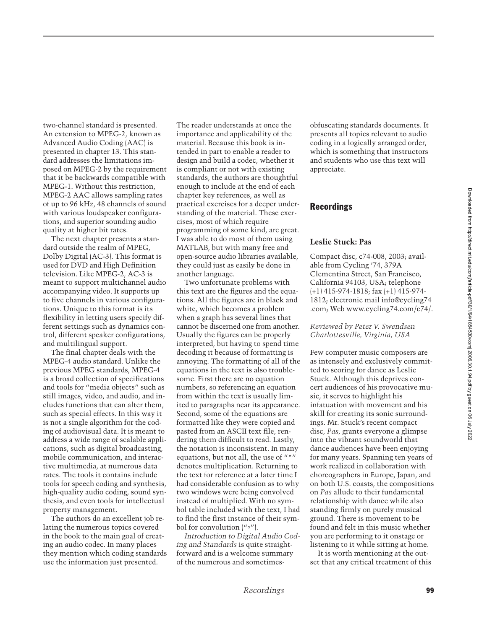two-channel standard is presented. An extension to MPEG-2, known as Advanced Audio Coding (AAC) is presented in chapter 13. This standard addresses the limitations imposed on MPEG-2 by the requirement that it be backwards compatible with MPEG-1. Without this restriction, MPEG-2 AAC allows sampling rates of up to 96 kHz, 48 channels of sound with various loudspeaker configurations, and superior sounding audio quality at higher bit rates.

The next chapter presents a standard outside the realm of MPEG, Dolby Digital (AC-3). This format is used for DVD and High Definition television. Like MPEG-2, AC-3 is meant to support multichannel audio accompanying video. It supports up to five channels in various configurations. Unique to this format is its flexibility in letting users specify different settings such as dynamics control, different speaker configurations, and multilingual support.

The final chapter deals with the MPEG-4 audio standard. Unlike the previous MPEG standards, MPEG-4 is a broad collection of specifications and tools for "media objects" such as still images, video, and audio, and includes functions that can alter them, such as special effects. In this way it is not a single algorithm for the coding of audiovisual data. It is meant to address a wide range of scalable applications, such as digital broadcasting, mobile communication, and interactive multimedia, at numerous data rates. The tools it contains include tools for speech coding and synthesis, high-quality audio coding, sound synthesis, and even tools for intellectual property management.

The authors do an excellent job relating the numerous topics covered in the book to the main goal of creating an audio codec. In many places they mention which coding standards use the information just presented.

The reader understands at once the importance and applicability of the material. Because this book is intended in part to enable a reader to design and build a codec, whether it is compliant or not with existing standards, the authors are thoughtful enough to include at the end of each chapter key references, as well as practical exercises for a deeper understanding of the material. These exercises, most of which require programming of some kind, are great. I was able to do most of them using MATLAB, but with many free and open-source audio libraries available, they could just as easily be done in another language.

Two unfortunate problems with this text are the figures and the equations. All the figures are in black and white, which becomes a problem when a graph has several lines that cannot be discerned one from another. Usually the figures can be properly interpreted, but having to spend time decoding it because of formatting is annoying. The formatting of all of the equations in the text is also troublesome. First there are no equation numbers, so referencing an equation from within the text is usually limited to paragraphs near its appearance. Second, some of the equations are formatted like they were copied and pasted from an ASCII text file, rendering them difficult to read. Lastly, the notation is inconsistent. In many equations, but not all, the use of "\*" denotes multiplication. Returning to the text for reference at a later time I had considerable confusion as to why two windows were being convolved instead of multiplied. With no symbol table included with the text, I had to find the first instance of their symbol for convolution ("°").

*Introduction to Digital Audio Coding and Standards* is quite straightforward and is a welcome summary of the numerous and sometimesobfuscating standards documents. It presents all topics relevant to audio coding in a logically arranged order, which is something that instructors and students who use this text will appreciate.

## **Recordings**

#### **Leslie Stuck: Pas**

Compact disc, c74-008, 2003; available from Cycling '74, 379A Clementina Street, San Francisco, California 94103, USA; telephone (+1) 415-974-1818; fax (+1) 415-974- 1812; electronic mail info@cycling74 .com; Web www.cycling74.com/c74/.

#### *Reviewed by Peter V. Swendsen Charlottesville, Virginia, USA*

Few computer music composers are as intensely and exclusively committed to scoring for dance as Leslie Stuck. Although this deprives concert audiences of his provocative music, it serves to highlight his infatuation with movement and his skill for creating its sonic surroundings. Mr. Stuck's recent compact disc, *Pas,* grants everyone a glimpse into the vibrant soundworld that dance audiences have been enjoying for many years. Spanning ten years of work realized in collaboration with choreographers in Europe, Japan, and on both U.S. coasts, the compositions on *Pas* allude to their fundamental relationship with dance while also standing firmly on purely musical ground. There is movement to be found and felt in this music whether you are performing to it onstage or listening to it while sitting at home.

It is worth mentioning at the outset that any critical treatment of this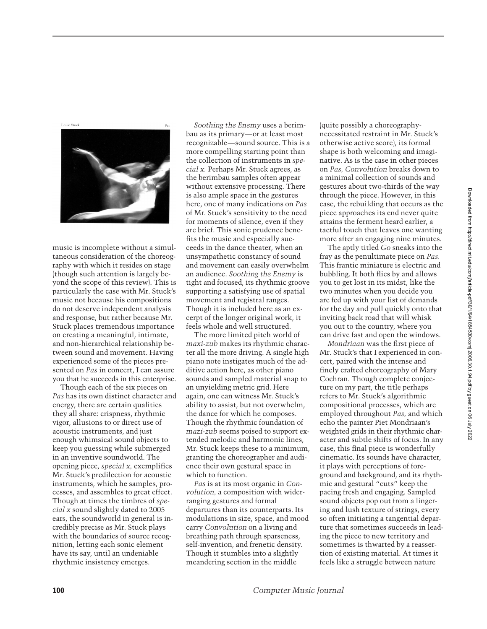Leslie Stuck



music is incomplete without a simultaneous consideration of the choreography with which it resides on stage (though such attention is largely beyond the scope of this review). This is particularly the case with Mr. Stuck's music not because his compositions do not deserve independent analysis and response, but rather because Mr. Stuck places tremendous importance on creating a meaningful, intimate, and non-hierarchical relationship between sound and movement. Having experienced some of the pieces presented on *Pas* in concert, I can assure you that he succeeds in this enterprise.

Though each of the six pieces on *Pas* has its own distinct character and energy, there are certain qualities they all share: crispness, rhythmic vigor, allusions to or direct use of acoustic instruments, and just enough whimsical sound objects to keep you guessing while submerged in an inventive soundworld. The opening piece, *special x,* exemplifies Mr. Stuck's predilection for acoustic instruments, which he samples, processes, and assembles to great effect. Though at times the timbres of *special x* sound slightly dated to 2005 ears, the soundworld in general is incredibly precise as Mr. Stuck plays with the boundaries of source recognition, letting each sonic element have its say, until an undeniable rhythmic insistency emerges.

*Soothing the Enemy* uses a berimbau as its primary—or at least most recognizable—sound source. This is a more compelling starting point than the collection of instruments in *special x.* Perhaps Mr. Stuck agrees, as the berimbau samples often appear without extensive processing. There is also ample space in the gestures here, one of many indications on *Pas* of Mr. Stuck's sensitivity to the need for moments of silence, even if they are brief. This sonic prudence benefits the music and especially succeeds in the dance theater, when an unsympathetic constancy of sound and movement can easily overwhelm an audience. *Soothing the Enemy* is tight and focused, its rhythmic groove supporting a satisfying use of spatial movement and registral ranges. Though it is included here as an excerpt of the longer original work, it feels whole and well structured.

The more limited pitch world of *maxi-zub* makes its rhythmic character all the more driving. A single high piano note instigates much of the additive action here, as other piano sounds and sampled material snap to an unyielding metric grid. Here again, one can witness Mr. Stuck's ability to assist, but not overwhelm, the dance for which he composes. Though the rhythmic foundation of *mazi-zub* seems poised to support extended melodic and harmonic lines, Mr. Stuck keeps these to a minimum, granting the choreographer and audience their own gestural space in which to function.

*Pas* is at its most organic in *Convolution,* a composition with widerranging gestures and formal departures than its counterparts. Its modulations in size, space, and mood carry *Convolution* on a living and breathing path through sparseness, self-invention, and frenetic density. Though it stumbles into a slightly meandering section in the middle

(quite possibly a choreographynecessitated restraint in Mr. Stuck's otherwise active score), its formal shape is both welcoming and imaginative. As is the case in other pieces on *Pas, Convolution* breaks down to a minimal collection of sounds and gestures about two-thirds of the way through the piece. However, in this case, the rebuilding that occurs as the piece approaches its end never quite attains the ferment heard earlier, a tactful touch that leaves one wanting more after an engaging nine minutes.

The aptly titled *Go* sneaks into the fray as the penultimate piece on *Pas.* This frantic miniature is electric and bubbling. It both flies by and allows you to get lost in its midst, like the two minutes when you decide you are fed up with your list of demands for the day and pull quickly onto that inviting back road that will whisk you out to the country, where you can drive fast and open the windows.

*Mondriaan* was the first piece of Mr. Stuck's that I experienced in concert, paired with the intense and finely crafted choreography of Mary Cochran. Though complete conjecture on my part, the title perhaps refers to Mr. Stuck's algorithmic compositional processes, which are employed throughout *Pas,* and which echo the painter Piet Mondriaan's weighted grids in their rhythmic character and subtle shifts of focus. In any case, this final piece is wonderfully cinematic. Its sounds have character, it plays with perceptions of foreground and background, and its rhythmic and gestural "cuts" keep the pacing fresh and engaging. Sampled sound objects pop out from a lingering and lush texture of strings, every so often initiating a tangential departure that sometimes succeeds in leading the piece to new territory and sometimes is thwarted by a reassertion of existing material. At times it feels like a struggle between nature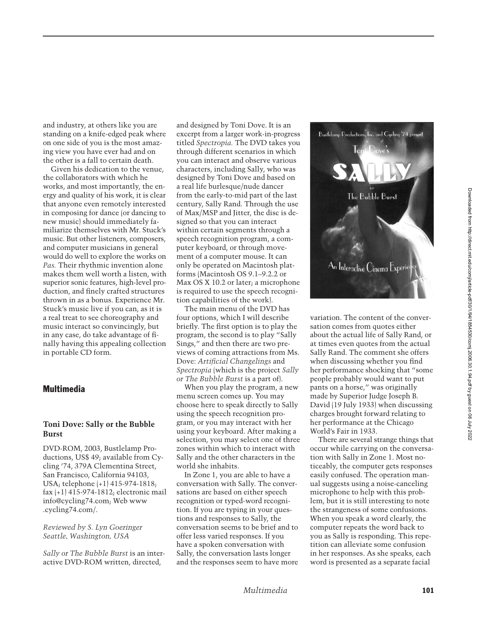and industry, at others like you are standing on a knife-edged peak where on one side of you is the most amazing view you have ever had and on the other is a fall to certain death.

Given his dedication to the venue, the collaborators with which he works, and most importantly, the energy and quality of his work, it is clear that anyone even remotely interested in composing for dance (or dancing to new music) should immediately familiarize themselves with Mr. Stuck's music. But other listeners, composers, and computer musicians in general would do well to explore the works on *Pas.* Their rhythmic invention alone makes them well worth a listen, with superior sonic features, high-level production, and finely crafted structures thrown in as a bonus. Experience Mr. Stuck's music live if you can, as it is a real treat to see choreography and music interact so convincingly, but in any case, do take advantage of finally having this appealing collection in portable CD form.

# Multimedia

## **Toni Dove: Sally or the Bubble Burst**

DVD-ROM, 2003, Bustlelamp Productions, US\$ 49; available from Cycling '74, 379A Clementina Street, San Francisco, California 94103, USA; telephone (+1) 415-974-1818; fax (+1) 415-974-1812; electronic mail info@cycling74.com; Web www .cycling74.com/.

*Reviewed by S. Lyn Goeringer Seattle, Washington, USA*

*Sally or The Bubble Burst* is an interactive DVD-ROM written, directed,

and designed by Toni Dove. It is an excerpt from a larger work-in-progress titled *Spectropia.* The DVD takes you through different scenarios in which you can interact and observe various characters, including Sally, who was designed by Toni Dove and based on a real life burlesque/nude dancer from the early-to-mid part of the last century, Sally Rand. Through the use of Max/MSP and Jitter, the disc is designed so that you can interact within certain segments through a speech recognition program, a computer keyboard, or through movement of a computer mouse. It can only be operated on Macintosh platforms (Macintosh OS 9.1–9.2.2 or Max OS X 10.2 or later; a microphone is required to use the speech recognition capabilities of the work).

The main menu of the DVD has four options, which I will describe briefly. The first option is to play the program, the second is to play "Sally Sings," and then there are two previews of coming attractions from Ms. Dove: *Artificial Changelings* and *Spectropia* (which is the project *Sally or The Bubble Burst* is a part of).

When you play the program, a new menu screen comes up. You may choose here to speak directly to Sally using the speech recognition program, or you may interact with her using your keyboard. After making a selection, you may select one of three zones within which to interact with Sally and the other characters in the world she inhabits.

In Zone 1, you are able to have a conversation with Sally. The conversations are based on either speech recognition or typed-word recognition. If you are typing in your questions and responses to Sally, the conversation seems to be brief and to offer less varied responses. If you have a spoken conversation with Sally, the conversation lasts longer and the responses seem to have more



variation. The content of the conversation comes from quotes either about the actual life of Sally Rand, or at times even quotes from the actual Sally Rand. The comment she offers when discussing whether you find her performance shocking that "some people probably would want to put pants on a horse," was originally made by Superior Judge Joseph B. David (19 July 1933) when discussing charges brought forward relating to her performance at the Chicago World's Fair in 1933.

There are several strange things that occur while carrying on the conversation with Sally in Zone 1. Most noticeably, the computer gets responses easily confused. The operation manual suggests using a noise-canceling microphone to help with this problem, but it is still interesting to note the strangeness of some confusions. When you speak a word clearly, the computer repeats the word back to you as Sally is responding. This repetition can alleviate some confusion in her responses. As she speaks, each word is presented as a separate facial